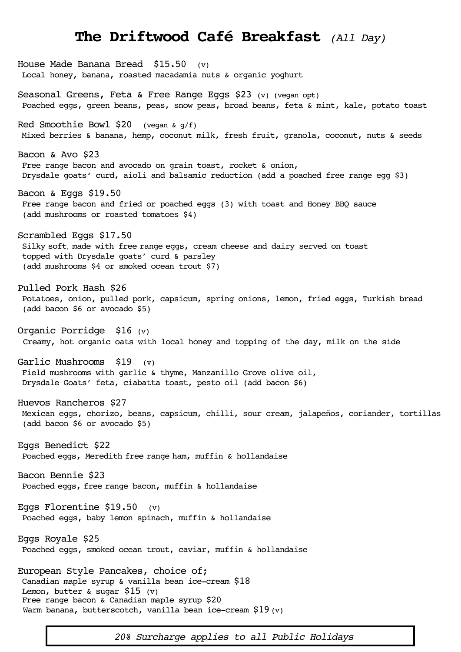## **The Driftwood Café Breakfast** *(All Day)*

House Made Banana Bread \$15.50 (v) Local honey, banana, roasted macadamia nuts & organic yoghurt Seasonal Greens, Feta & Free Range Eggs \$23 (v) (vegan opt) Poached eggs, green beans, peas, snow peas, broad beans, feta & mint, kale, potato toast Red Smoothie Bowl  $$20$  (vegan  $\alpha$  q/f) Mixed berries & banana, hemp, coconut milk, fresh fruit, granola, coconut, nuts & seeds Bacon & Avo \$23 Free range bacon and avocado on grain toast, rocket & onion, Drysdale goats' curd, aioli and balsamic reduction (add a poached free range egg \$3) Bacon & Eggs \$19.50 Free range bacon and fried or poached eggs (3) with toast and Honey BBQ sauce (add mushrooms or roasted tomatoes \$4) Scrambled Eggs \$17.50 Silky soft, made with free range eggs, cream cheese and dairy served on toast topped with Drysdale goats' curd & parsley (add mushrooms \$4 or smoked ocean trout \$7) Pulled Pork Hash \$26 Potatoes, onion, pulled pork, capsicum, spring onions, lemon, fried eggs, Turkish bread (add bacon \$6 or avocado \$5) Organic Porridge \$16 (v) Creamy, hot organic oats with local honey and topping of the day, milk on the side Garlic Mushrooms \$19 (v) Field mushrooms with garlic & thyme, Manzanillo Grove olive oil, Drysdale Goats' feta, ciabatta toast, pesto oil (add bacon \$6) Huevos Rancheros \$27 Mexican eggs, chorizo, beans, capsicum, chilli, sour cream, jalapeños, coriander, tortillas (add bacon \$6 or avocado \$5) Eggs Benedict \$22 Poached eggs, Meredith free range ham, muffin & hollandaise Bacon Bennie \$23 Poached eggs, free range bacon, muffin & hollandaise Eggs Florentine  $$19.50$  (v) Poached eggs, baby lemon spinach, muffin & hollandaise Eggs Royale \$25 Poached eggs, smoked ocean trout, caviar, muffin & hollandaise European Style Pancakes, choice of; Canadian maple syrup & vanilla bean ice-cream \$18 Lemon, butter  $\&$  sugar \$15 (v) Free range bacon & Canadian maple syrup \$20 Warm banana, butterscotch, vanilla bean ice-cream  $$19$  (v)

*20% Surcharge applies to all Public Holidays*